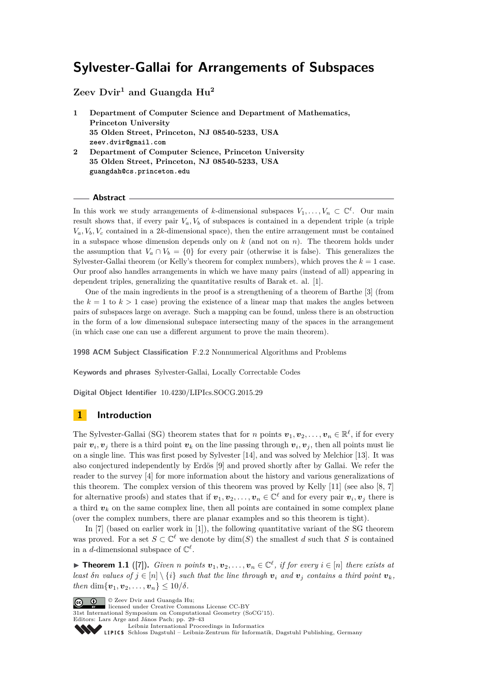**Zeev Dvir<sup>1</sup> and Guangda Hu<sup>2</sup>**

- **1 Department of Computer Science and Department of Mathematics, Princeton University 35 Olden Street, Princeton, NJ 08540-5233, USA zeev.dvir@gmail.com 2 Department of Computer Science, Princeton University**
- **35 Olden Street, Princeton, NJ 08540-5233, USA guangdah@cs.princeton.edu**

#### **Abstract**

In this work we study arrangements of *k*-dimensional subspaces  $V_1, \ldots, V_n \subset \mathbb{C}^{\ell}$ . Our main result shows that, if every pair  $V_a$ ,  $V_b$  of subspaces is contained in a dependent triple (a triple  $V_a$ ,  $V_b$ ,  $V_c$  contained in a 2*k*-dimensional space), then the entire arrangement must be contained in a subspace whose dimension depends only on *k* (and not on *n*). The theorem holds under the assumption that  $V_a \cap V_b = \{0\}$  for every pair (otherwise it is false). This generalizes the Sylvester-Gallai theorem (or Kelly's theorem for complex numbers), which proves the  $k = 1$  case. Our proof also handles arrangements in which we have many pairs (instead of all) appearing in dependent triples, generalizing the quantitative results of Barak et. al. [\[1\]](#page-14-0).

One of the main ingredients in the proof is a strengthening of a theorem of Barthe [\[3\]](#page-14-1) (from the  $k = 1$  to  $k > 1$  case) proving the existence of a linear map that makes the angles between pairs of subspaces large on average. Such a mapping can be found, unless there is an obstruction in the form of a low dimensional subspace intersecting many of the spaces in the arrangement (in which case one can use a different argument to prove the main theorem).

**1998 ACM Subject Classification** F.2.2 Nonnumerical Algorithms and Problems

**Keywords and phrases** Sylvester-Gallai, Locally Correctable Codes

**Digital Object Identifier** [10.4230/LIPIcs.SOCG.2015.29](http://dx.doi.org/10.4230/LIPIcs.SOCG.2015.29)

# **1 Introduction**

The Sylvester-Gallai (SG) theorem states that for *n* points  $v_1, v_2, \ldots, v_n \in \mathbb{R}^{\ell}$ , if for every pair  $v_i, v_j$  there is a third point  $v_k$  on the line passing through  $v_i, v_j$ , then all points must lie on a single line. This was first posed by Sylvester [\[14\]](#page-14-2), and was solved by Melchior [\[13\]](#page-14-3). It was also conjectured independently by Erdös [\[9\]](#page-14-4) and proved shortly after by Gallai. We refer the reader to the survey [\[4\]](#page-14-5) for more information about the history and various generalizations of this theorem. The complex version of this theorem was proved by Kelly [\[11\]](#page-14-6) (see also [\[8,](#page-14-7) [7\]](#page-14-8) for alternative proofs) and states that if  $v_1, v_2, \ldots, v_n \in \mathbb{C}^{\ell}$  and for every pair  $v_i, v_j$  there is a third  $v_k$  on the same complex line, then all points are contained in some complex plane (over the complex numbers, there are planar examples and so this theorem is tight).

In [\[7\]](#page-14-8) (based on earlier work in [\[1\]](#page-14-0)), the following quantitative variant of the SG theorem was proved. For a set  $S \subset \mathbb{C}^{\ell}$  we denote by  $\dim(S)$  the smallest *d* such that *S* is contained in a *d*-dimensional subspace of  $\mathbb{C}^{\ell}$ .

<span id="page-0-0"></span>▶ **Theorem 1.1** ([\[7\]](#page-14-8)). *Given n* points  $v_1, v_2, \ldots, v_n \in \mathbb{C}^{\ell}$ , if for every  $i \in [n]$  there exists at *least δn values of*  $j \in [n] \setminus \{i\}$  *such that the line through*  $v_i$  *and*  $v_j$  *contains a third point*  $v_k$ *, then* dim $\{v_1, v_2, \ldots, v_n\} \le 10/\delta$ .

© Zeev Dvir and Guangda Hu; licensed under Creative Commons License CC-BY 31st International Symposium on Computational Geometry (SoCG'15).

Editors: Lars Arge and János Pach; pp. 29[–43](#page-14-9)

[Leibniz International Proceedings in Informatics](http://www.dagstuhl.de/lipics/)

[Schloss Dagstuhl – Leibniz-Zentrum für Informatik, Dagstuhl Publishing, Germany](http://www.dagstuhl.de)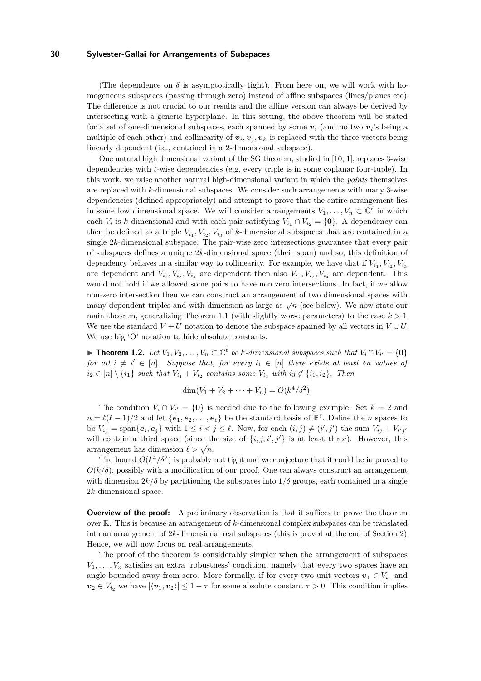(The dependence on  $\delta$  is asymptotically tight). From here on, we will work with homogeneous subspaces (passing through zero) instead of affine subspaces (lines/planes etc). The difference is not crucial to our results and the affine version can always be derived by intersecting with a generic hyperplane. In this setting, the above theorem will be stated for a set of one-dimensional subspaces, each spanned by some  $v_i$  (and no two  $v_i$ 's being a multiple of each other) and collinearity of  $v_i, v_j, v_k$  is replaced with the three vectors being linearly dependent (i.e., contained in a 2-dimensional subspace).

One natural high dimensional variant of the SG theorem, studied in [\[10,](#page-14-10) [1\]](#page-14-0), replaces 3-wise dependencies with *t*-wise dependencies (e.g, every triple is in some coplanar four-tuple). In this work, we raise another natural high-dimensional variant in which the *points* themselves are replaced with *k*-dimensional subspaces. We consider such arrangements with many 3-wise dependencies (defined appropriately) and attempt to prove that the entire arrangement lies in some low dimensional space. We will consider arrangements  $V_1, \ldots, V_n \subset \mathbb{C}^{\ell}$  in which each *V*<sub>*i*</sub> is *k*-dimensional and with each pair satisfying  $V_{i_1} \cap V_{i_2} = \{0\}$ . A dependency can then be defined as a triple  $V_{i_1}, V_{i_2}, V_{i_3}$  of *k*-dimensional subspaces that are contained in a single 2*k*-dimensional subspace. The pair-wise zero intersections guarantee that every pair of subspaces defines a unique 2*k*-dimensional space (their span) and so, this definition of dependency behaves in a similar way to collinearity. For example, we have that if  $V_{i_1}, V_{i_2}, V_{i_3}$ are dependent and  $V_{i_2}, V_{i_3}, V_{i_4}$  are dependent then also  $V_{i_1}, V_{i_2}, V_{i_4}$  are dependent. This would not hold if we allowed some pairs to have non zero intersections. In fact, if we allow non-zero intersection then we can construct an arrangement of two dimensional spaces with many dependent triples and with dimension as large as  $\sqrt{n}$  (see below). We now state our many dependent triples and with dimension as large as  $\sqrt{n}$  (see below). main theorem, generalizing Theorem [1.1](#page-0-0) (with slightly worse parameters) to the case  $k > 1$ . We use the standard  $V + U$  notation to denote the subspace spanned by all vectors in  $V \cup U$ . We use big 'O' notation to hide absolute constants.

<span id="page-1-0"></span>▶ **Theorem 1.2.** *Let*  $V_1, V_2, \ldots, V_n \subset \mathbb{C}^{\ell}$  *be k-dimensional subspaces such that*  $V_i \cap V_{i'} = \{0\}$ *for all*  $i \neq i' \in [n]$ *. Suppose that, for every*  $i_1 \in [n]$  *there exists at least*  $\delta n$  *values of*  $i_2 \in [n] \setminus \{i_1\}$  *such that*  $V_{i_1} + V_{i_2}$  *contains some*  $V_{i_3}$  *with*  $i_3 \notin \{i_1, i_2\}$ *. Then* 

$$
\dim(V_1 + V_2 + \cdots + V_n) = O(k^4/\delta^2).
$$

The condition  $V_i \cap V_{i'} = \{0\}$  is needed due to the following example. Set  $k = 2$  and  $n = \ell(\ell - 1)/2$  and let  $\{e_1, e_2, \ldots, e_\ell\}$  be the standard basis of  $\mathbb{R}^{\ell}$ . Define the *n* spaces to be  $V_{ij} = \text{span}\{e_i, e_j\}$  with  $1 \leq i < j \leq \ell$ . Now, for each  $(i, j) \neq (i', j')$  the sum  $V_{ij} + V_{i'j'}$ will contain a third space (since the size of  $\{i, j, i', j'\}$  is at least three). However, this arrangement has dimension  $\ell > \sqrt{n}$ .

The bound  $O(k^4/\delta^2)$  is probably not tight and we conjecture that it could be improved to  $O(k/\delta)$ , possibly with a modification of our proof. One can always construct an arrangement with dimension  $2k/\delta$  by partitioning the subspaces into  $1/\delta$  groups, each contained in a single 2*k* dimensional space.

**Overview of the proof:** A preliminary observation is that it suffices to prove the theorem over R. This is because an arrangement of *k*-dimensional complex subspaces can be translated into an arrangement of 2*k*-dimensional real subspaces (this is proved at the end of Section [2\)](#page-3-0). Hence, we will now focus on real arrangements.

The proof of the theorem is considerably simpler when the arrangement of subspaces  $V_1, \ldots, V_n$  satisfies an extra 'robustness' condition, namely that every two spaces have an angle bounded away from zero. More formally, if for every two unit vectors  $v_1 \in V_{i_1}$  and  $v_2 \in V_{i_2}$  we have  $|\langle v_1, v_2 \rangle| \leq 1 - \tau$  for some absolute constant  $\tau > 0$ . This condition implies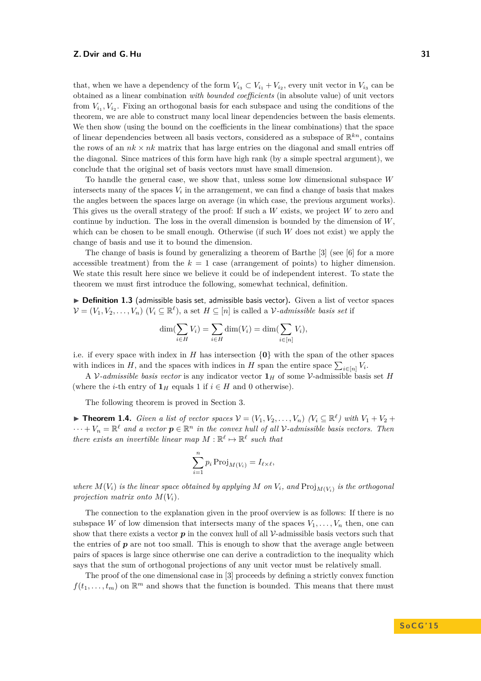that, when we have a dependency of the form  $V_{i_3} \subset V_{i_1} + V_{i_2}$ , every unit vector in  $V_{i_3}$  can be obtained as a linear combination *with bounded coefficients* (in absolute value) of unit vectors from  $V_{i_1}, V_{i_2}$ . Fixing an orthogonal basis for each subspace and using the conditions of the theorem, we are able to construct many local linear dependencies between the basis elements. We then show (using the bound on the coefficients in the linear combinations) that the space of linear dependencies between all basis vectors, considered as a subspace of  $\mathbb{R}^{kn}$ , contains the rows of an  $nk \times nk$  matrix that has large entries on the diagonal and small entries of the diagonal. Since matrices of this form have high rank (by a simple spectral argument), we conclude that the original set of basis vectors must have small dimension.

To handle the general case, we show that, unless some low dimensional subspace *W* intersects many of the spaces  $V_i$  in the arrangement, we can find a change of basis that makes the angles between the spaces large on average (in which case, the previous argument works). This gives us the overall strategy of the proof: If such a *W* exists, we project *W* to zero and continue by induction. The loss in the overall dimension is bounded by the dimension of *W*, which can be chosen to be small enough. Otherwise (if such *W* does not exist) we apply the change of basis and use it to bound the dimension.

The change of basis is found by generalizing a theorem of Barthe [\[3\]](#page-14-1) (see [\[6\]](#page-14-11) for a more accessible treatment) from the  $k = 1$  case (arrangement of points) to higher dimension. We state this result here since we believe it could be of independent interest. To state the theorem we must first introduce the following, somewhat technical, definition.

<span id="page-2-1"></span>▶ Definition 1.3 (admissible basis set, admissible basis vector). Given a list of vector spaces  $\mathcal{V} = (V_1, V_2, \ldots, V_n)$   $(V_i \subseteq \mathbb{R}^{\ell})$ , a set  $H \subseteq [n]$  is called a *V*-admissible basis set if

$$
\dim(\sum_{i \in H} V_i) = \sum_{i \in H} \dim(V_i) = \dim(\sum_{i \in [n]} V_i),
$$

i.e. if every space with index in *H* has intersection  $\{0\}$  with the span of the other spaces with indices in *H*, and the spaces with indices in *H* span the entire space  $\sum_{i \in [n]} V_i$ .

A V-admissible basis vector is any indicator vector  $\mathbf{1}_H$  of some V-admissible basis set *H* (where the *i*-th entry of  $\mathbf{1}_H$  equals 1 if  $i \in H$  and 0 otherwise).

The following theorem is proved in Section [3.](#page-5-0)

<span id="page-2-0"></span>▶ **Theorem 1.4.** *Given a list of vector spaces*  $V = (V_1, V_2, \ldots, V_n)$   $(V_i \subseteq \mathbb{R}^{\ell})$  with  $V_1 + V_2 +$  $\cdots + V_n = \mathbb{R}^{\ell}$  and a vector  $p \in \mathbb{R}^n$  in the convex hull of all V-admissible basis vectors. Then *there exists an invertible linear map*  $M : \mathbb{R}^{\ell} \to \mathbb{R}^{\ell}$  such that

$$
\sum_{i=1}^{n} p_i \operatorname{Proj}_{M(V_i)} = I_{\ell \times \ell},
$$

*where*  $M(V_i)$  *is the linear space obtained by applying*  $M$  *on*  $V_i$ *, and*  $\text{Proj}_{M(V_i)}$  *is the orthogonal projection matrix onto*  $M(V_i)$ .

The connection to the explanation given in the proof overview is as follows: If there is no subspace *W* of low dimension that intersects many of the spaces  $V_1, \ldots, V_n$  then, one can show that there exists a vector  $p$  in the convex hull of all  $\mathcal V$ -admissible basis vectors such that the entries of  $p$  are not too small. This is enough to show that the average angle between pairs of spaces is large since otherwise one can derive a contradiction to the inequality which says that the sum of orthogonal projections of any unit vector must be relatively small.

The proof of the one dimensional case in [\[3\]](#page-14-1) proceeds by defining a strictly convex function  $f(t_1, \ldots, t_m)$  on  $\mathbb{R}^m$  and shows that the function is bounded. This means that there must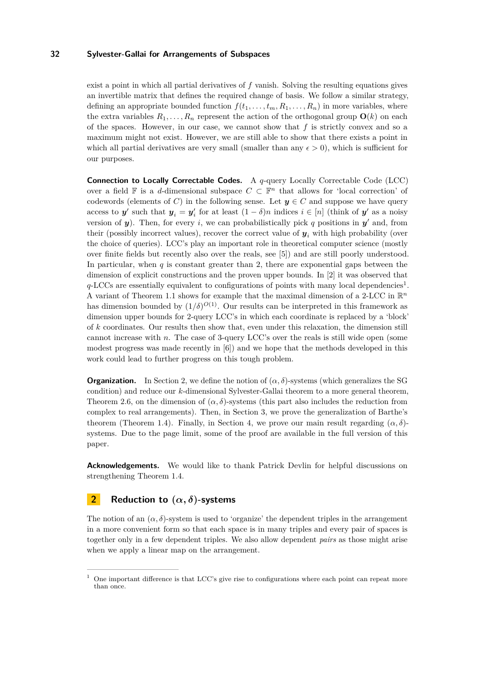exist a point in which all partial derivatives of *f* vanish. Solving the resulting equations gives an invertible matrix that defines the required change of basis. We follow a similar strategy, defining an appropriate bounded function  $f(t_1, \ldots, t_m, R_1, \ldots, R_n)$  in more variables, where the extra variables  $R_1, \ldots, R_n$  represent the action of the orthogonal group  $\mathbf{O}(k)$  on each of the spaces. However, in our case, we cannot show that *f* is strictly convex and so a maximum might not exist. However, we are still able to show that there exists a point in which all partial derivatives are very small (smaller than any  $\epsilon > 0$ ), which is sufficient for our purposes.

**Connection to Locally Correctable Codes.** A *q*-query Locally Correctable Code (LCC) over a field  $\mathbb F$  is a *d*-dimensional subspace  $C \subset \mathbb F^n$  that allows for 'local correction' of codewords (elements of *C*) in the following sense. Let  $y \in C$  and suppose we have query access to *y*' such that  $y_i = y'_i$  for at least  $(1 - \delta)n$  indices  $i \in [n]$  (think of *y*' as a noisy version of  $y$ ). Then, for every *i*, we can probabilistically pick q positions in  $y'$  and, from their (possibly incorrect values), recover the correct value of *y<sup>i</sup>* with high probability (over the choice of queries). LCC's play an important role in theoretical computer science (mostly over finite fields but recently also over the reals, see [\[5\]](#page-14-12)) and are still poorly understood. In particular, when  $q$  is constant greater than 2, there are exponential gaps between the dimension of explicit constructions and the proven upper bounds. In [\[2\]](#page-14-13) it was observed that q-LCCs are essentially equivalent to configurations of points with many local dependencies<sup>[1](#page-3-1)</sup>. A variant of Theorem [1.1](#page-0-0) shows for example that the maximal dimension of a 2-LCC in R *n* has dimension bounded by  $(1/\delta)^{O(1)}$ . Our results can be interpreted in this framework as dimension upper bounds for 2-query LCC's in which each coordinate is replaced by a 'block' of *k* coordinates. Our results then show that, even under this relaxation, the dimension still cannot increase with *n*. The case of 3-query LCC's over the reals is still wide open (some modest progress was made recently in [\[6\]](#page-14-11)) and we hope that the methods developed in this work could lead to further progress on this tough problem.

**Organization.** In Section [2,](#page-3-0) we define the notion of  $(\alpha, \delta)$ -systems (which generalizes the SG condition) and reduce our *k*-dimensional Sylvester-Gallai theorem to a more general theorem, Theorem [2.6,](#page-4-0) on the dimension of  $(\alpha, \delta)$ -systems (this part also includes the reduction from complex to real arrangements). Then, in Section [3,](#page-5-0) we prove the generalization of Barthe's theorem (Theorem [1.4\)](#page-2-0). Finally, in Section [4,](#page-10-0) we prove our main result regarding  $(\alpha, \delta)$ systems. Due to the page limit, some of the proof are available in the full version of this paper.

**Acknowledgements.** We would like to thank Patrick Devlin for helpful discussions on strengthening Theorem [1.4.](#page-2-0)

# <span id="page-3-0"></span>**2 Reduction to (***α, δ***)-systems**

The notion of an  $(\alpha, \delta)$ -system is used to 'organize' the dependent triples in the arrangement in a more convenient form so that each space is in many triples and every pair of spaces is together only in a few dependent triples. We also allow dependent *pairs* as those might arise when we apply a linear map on the arrangement.

<span id="page-3-1"></span> $1$  One important difference is that LCC's give rise to configurations where each point can repeat more than once.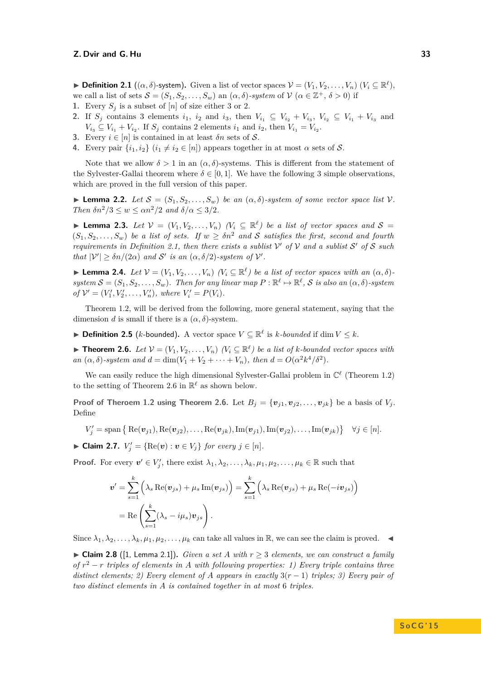<span id="page-4-1"></span> $\triangleright$  **Definition 2.1** ((α, δ)-system). Given a list of vector spaces  $\mathcal{V} = (V_1, V_2, \ldots, V_n)$  ( $V_i \subseteq \mathbb{R}^{\ell}$ ), we call a list of sets  $S = (S_1, S_2, \ldots, S_w)$  an  $(\alpha, \delta)$ -system of  $V$   $(\alpha \in \mathbb{Z}^+, \delta > 0)$  if

- **1.** Every  $S_i$  is a subset of  $[n]$  of size either 3 or 2.
- **2.** If  $S_j$  contains 3 elements  $i_1$ ,  $i_2$  and  $i_3$ , then  $V_{i_1} \subseteq V_{i_2} + V_{i_3}$ ,  $V_{i_2} \subseteq V_{i_1} + V_{i_3}$  and  $V_{i_3} \subseteq V_{i_1} + V_{i_2}$ . If  $S_j$  contains 2 elements  $i_1$  and  $i_2$ , then  $V_{i_1} = V_{i_2}$ .
- **3.** Every  $i \in [n]$  is contained in at least  $\delta n$  sets of S.
- **4.** Every pair  $\{i_1, i_2\}$   $(i_1 \neq i_2 \in [n])$  appears together in at most  $\alpha$  sets of S.

Note that we allow  $\delta > 1$  in an  $(\alpha, \delta)$ -systems. This is different from the statement of the Sylvester-Gallai theorem where  $\delta \in [0,1]$ . We have the following 3 simple observations, which are proved in the full version of this paper.

<span id="page-4-4"></span>**Lemma 2.2.** *Let*  $S = (S_1, S_2, \ldots, S_w)$  *be an*  $(\alpha, \delta)$ -system of some vector space list V. *Then*  $\delta n^2/3 \leq w \leq \alpha n^2/2$  *and*  $\delta/\alpha \leq 3/2$ *.* 

<span id="page-4-6"></span>▶ **Lemma 2.3.** *Let*  $V = (V_1, V_2, ..., V_n)$   $(V_i \subseteq \mathbb{R}^{\ell})$  *be a list of vector spaces and*  $S =$  $(S_1, S_2, \ldots, S_w)$  *be a list of sets. If*  $w > \delta n^2$  *and* S *satisfies the first, second and fourth requirements in Definition [2.1,](#page-4-1)* then there exists a sublist  $V'$  of  $V$  and a sublist  $S'$  of  $S$  such *that*  $|\mathcal{V}'| \geq \delta n/(2\alpha)$  *and*  $\mathcal{S}'$  *is an*  $(\alpha, \delta/2)$ *-system of*  $\mathcal{V}'$ *.* 

<span id="page-4-5"></span>**Example 1.4.** *Let*  $V = (V_1, V_2, \ldots, V_n)$   $(V_i \subseteq \mathbb{R}^{\ell})$  *be a list of vector spaces with an*  $(\alpha, \delta)$  $system \mathcal{S} = (S_1, S_2, \ldots, S_w)$ . Then for any linear map  $P : \mathbb{R}^{\ell} \mapsto \mathbb{R}^{\ell}, \mathcal{S}$  is also an  $(\alpha, \delta)$ -system  $of V' = (V'_1, V'_2, \dots, V'_n), where V'_i = P(V_i).$ 

Theorem [1.2,](#page-1-0) will be derived from the following, more general statement, saying that the dimension *d* is small if there is a  $(\alpha, \delta)$ -system.

▶ **Definition 2.5** (*k*-bounded). A vector space  $V \subseteq \mathbb{R}^{\ell}$  is *k*-bounded if dim  $V \leq k$ .

<span id="page-4-0"></span>▶ **Theorem 2.6.** *Let*  $V = (V_1, V_2, \ldots, V_n)$   $(V_i ⊆ ℝ<sup>ℓ</sup>)$  *be a list of k-bounded vector spaces with an*  $(\alpha, \delta)$ -system and  $d = \dim(V_1 + V_2 + \cdots + V_n)$ , then  $d = O(\alpha^2 k^4/\delta^2)$ .

We can easily reduce the high dimensional Sylvester-Gallai problem in  $\mathbb{C}^{\ell}$  (Theorem [1.2\)](#page-1-0) to the setting of Theorem [2.6](#page-4-0) in  $\mathbb{R}^{\ell}$  as shown below.

**Proof of Theroem [1.2](#page-1-0) using Theorem [2.6.](#page-4-0)** Let  $B_i = \{v_{i1}, v_{i2}, \ldots, v_{ik}\}$  be a basis of  $V_i$ . Define

$$
V'_{j} = \text{span} \{ \text{Re}(\boldsymbol{v}_{j1}), \text{Re}(\boldsymbol{v}_{j2}), \dots, \text{Re}(\boldsymbol{v}_{jk}), \text{Im}(\boldsymbol{v}_{j1}), \text{Im}(\boldsymbol{v}_{j2}), \dots, \text{Im}(\boldsymbol{v}_{jk}) \} \quad \forall j \in [n].
$$

<span id="page-4-3"></span>► Claim 2.7.  $V'_j = \{ \text{Re}(v) : v \in V_j \}$  for every  $j \in [n]$ *.* 

**Proof.** For every  $v' \in V'_j$ , there exist  $\lambda_1, \lambda_2, \ldots, \lambda_k, \mu_1, \mu_2, \ldots, \mu_k \in \mathbb{R}$  such that

$$
\mathbf{v}' = \sum_{s=1}^{k} \left( \lambda_s \operatorname{Re}(\mathbf{v}_{js}) + \mu_s \operatorname{Im}(\mathbf{v}_{js}) \right) = \sum_{s=1}^{k} \left( \lambda_s \operatorname{Re}(\mathbf{v}_{js}) + \mu_s \operatorname{Re}(-i\mathbf{v}_{js}) \right)
$$
  
= Re  $\left( \sum_{s=1}^{k} (\lambda_s - i\mu_s) \mathbf{v}_{js} \right)$ .

Since  $\lambda_1, \lambda_2, \ldots, \lambda_k, \mu_1, \mu_2, \ldots, \mu_k$  can take all values in R, we can see the claim is proved.

<span id="page-4-2"></span>▶ Claim 2.8 ([\[1,](#page-14-0) Lemma 2.1]). *Given a set A with*  $r \geq 3$  *elements, we can construct a family of r* <sup>2</sup> − *r triples of elements in A with following properties: 1) Every triple contains three distinct elements; 2) Every element of A appears in exactly* 3(*r* − 1) *triples; 3) Every pair of two distinct elements in A is contained together in at most* 6 *triples.*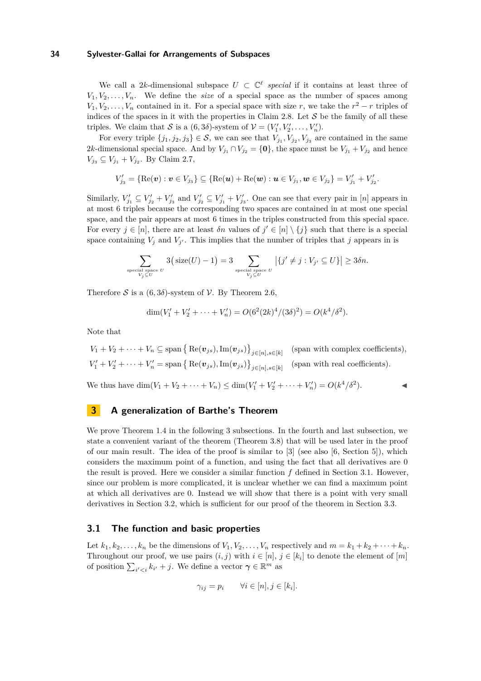We call a 2k-dimensional subspace  $U \subset \mathbb{C}^{\ell}$  special if it contains at least three of  $V_1, V_2, \ldots, V_n$ . We define the *size* of a special space as the number of spaces among  $V_1, V_2, \ldots, V_n$  contained in it. For a special space with size *r*, we take the  $r^2 - r$  triples of indices of the spaces in it with the properties in Claim [2.8.](#page-4-2) Let  $S$  be the family of all these triples. We claim that S is a  $(6,3\delta)$ -system of  $\mathcal{V} = (V'_1, V'_2, \dots, V'_n)$ .

For every triple  $\{j_1, j_2, j_3\} \in \mathcal{S}$ , we can see that  $V_{j_1}, V_{j_2}, V_{j_3}$  are contained in the same 2*k*-dimensional special space. And by  $V_{j_1} \cap V_{j_2} = \{0\}$ , the space must be  $V_{j_1} + V_{j_2}$  and hence  $V_{j_3} \subseteq V_{j_1} + V_{j_2}$ . By Claim [2.7,](#page-4-3)

$$
V'_{j_3} = \{ \text{Re}(\boldsymbol{v}) : \boldsymbol{v} \in V_{j_3} \} \subseteq \{ \text{Re}(\boldsymbol{u}) + \text{Re}(\boldsymbol{w}) : \boldsymbol{u} \in V_{j_1}, \boldsymbol{w} \in V_{j_2} \} = V'_{j_1} + V'_{j_2}.
$$

Similarly,  $V'_{j_1} \subseteq V'_{j_2} + V'_{j_3}$  and  $V'_{j_2} \subseteq V'_{j_1} + V'_{j_3}$ . One can see that every pair in [*n*] appears in at most 6 triples because the corresponding two spaces are contained in at most one special space, and the pair appears at most 6 times in the triples constructed from this special space. For every  $j \in [n]$ , there are at least  $\delta n$  values of  $j' \in [n] \setminus \{j\}$  such that there is a special space containing  $V_j$  and  $V_{j'}$ . This implies that the number of triples that *j* appears in is

$$
\sum_{\text{special space } U \atop V_j \subseteq U} 3(\text{size}(U) - 1) = 3 \sum_{\text{special space } U \atop V_j \subseteq U} |\{j' \neq j : V_{j'} \subseteq U\}| \geq 3\delta n.
$$

Therefore S is a  $(6, 3\delta)$ -system of V. By Theorem [2.6,](#page-4-0)

$$
\dim(V'_1 + V'_2 + \dots + V'_n) = O(6^2 (2k)^4 / (3\delta)^2) = O(k^4 / \delta^2).
$$

Note that

$$
V_1 + V_2 + \dots + V_n \subseteq \text{span}\left\{\text{Re}(\mathbf{v}_{js}), \text{Im}(\mathbf{v}_{js})\right\}_{j \in [n], s \in [k]}
$$
 (span with complex coefficients),  

$$
V'_1 + V'_2 + \dots + V'_n = \text{span}\left\{\text{Re}(\mathbf{v}_{js}), \text{Im}(\mathbf{v}_{js})\right\}_{j \in [n], s \in [k]}
$$
 (span with real coefficients).

We thus have  $\dim(V_1 + V_2 + \cdots + V_n) \leq \dim(V_1' + V_2' + \cdots + V_n') = O(k^4/\delta^2)$ .

# <span id="page-5-0"></span>**3 A generalization of Barthe's Theorem**

We prove Theorem [1.4](#page-2-0) in the following 3 subsections. In the fourth and last subsection, we state a convenient variant of the theorem (Theorem [3.8\)](#page-10-1) that will be used later in the proof of our main result. The idea of the proof is similar to [\[3\]](#page-14-1) (see also [\[6,](#page-14-11) Section 5]), which considers the maximum point of a function, and using the fact that all derivatives are 0 the result is proved. Here we consider a similar function *f* defined in Section [3.1.](#page-5-1) However, since our problem is more complicated, it is unclear whether we can find a maximum point at which all derivatives are 0. Instead we will show that there is a point with very small derivatives in Section [3.2,](#page-6-0) which is sufficient for our proof of the theorem in Section [3.3.](#page-7-0)

### <span id="page-5-1"></span>**3.1 The function and basic properties**

Let  $k_1, k_2, \ldots, k_n$  be the dimensions of  $V_1, V_2, \ldots, V_n$  respectively and  $m = k_1 + k_2 + \cdots + k_n$ . Throughout our proof, we use pairs  $(i, j)$  with  $i \in [n]$ ,  $j \in [k_i]$  to denote the element of  $[m]$ of position  $\sum_{i' < i} k_{i'} + j$ . We define a vector  $\gamma \in \mathbb{R}^m$  as

$$
\gamma_{ij} = p_i \qquad \forall i \in [n], j \in [k_i].
$$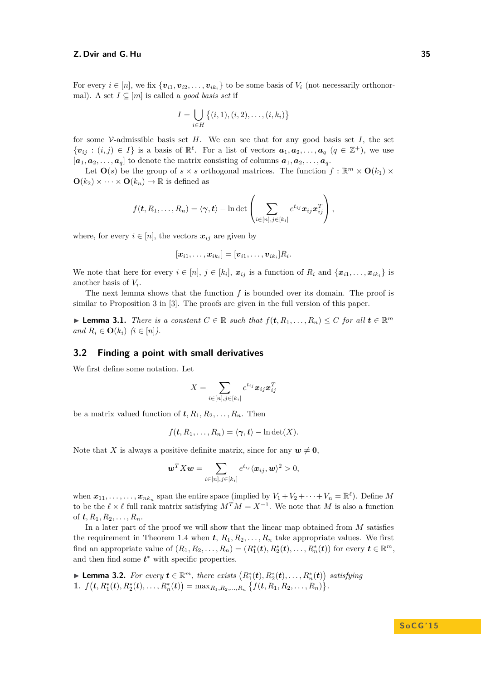For every  $i \in [n]$ , we fix  $\{v_{i1}, v_{i2}, \ldots, v_{ik_i}\}\)$  to be some basis of  $V_i$  (not necessarily orthonormal). A set  $I \subseteq [m]$  is called a *good basis set* if

$$
I = \bigcup_{i \in H} \left\{ (i, 1), (i, 2), \dots, (i, k_i) \right\}
$$

for some  $\mathcal V$ -admissible basis set *H*. We can see that for any good basis set *I*, the set  $\{v_{ij} : (i,j) \in I\}$  is a basis of  $\mathbb{R}^{\ell}$ . For a list of vectors  $a_1, a_2, \ldots, a_q$   $(q \in \mathbb{Z}^+)$ , we use  $[a_1, a_2, \ldots, a_q]$  to denote the matrix consisting of columns  $a_1, a_2, \ldots, a_q$ .

Let  $\mathbf{O}(s)$  be the group of  $s \times s$  orthogonal matrices. The function  $f : \mathbb{R}^m \times \mathbf{O}(k_1) \times$  $\mathbf{O}(k_2) \times \cdots \times \mathbf{O}(k_n) \mapsto \mathbb{R}$  is defined as

$$
f(\boldsymbol{t}, R_1,\ldots,R_n) = \langle \boldsymbol{\gamma}, \boldsymbol{t} \rangle - \ln \det \left( \sum_{i \in [n], j \in [k_i]} e^{t_{ij}} \boldsymbol{x}_{ij} \boldsymbol{x}_{ij}^T \right),
$$

where, for every  $i \in [n]$ , the vectors  $x_{ij}$  are given by

$$
[\boldsymbol{x}_{i1},\dots,\boldsymbol{x}_{ik_i}]=[\boldsymbol{v}_{i1},\dots,\boldsymbol{v}_{ik_i}]R_i.
$$

We note that here for every  $i \in [n], j \in [k_i], x_{ij}$  is a function of  $R_i$  and  $\{x_{i1}, \ldots, x_{ik_i}\}$  is another basis of *V<sup>i</sup>* .

The next lemma shows that the function *f* is bounded over its domain. The proof is similar to Proposition 3 in [\[3\]](#page-14-1). The proofs are given in the full version of this paper.

▶ **Lemma 3.1.** *There is a constant*  $C \in \mathbb{R}$  *such that*  $f(t, R_1, \ldots, R_n) \leq C$  *for all*  $t \in \mathbb{R}^m$  $and R_i \in \mathbf{O}(k_i) \ (i \in [n]).$ 

#### <span id="page-6-0"></span>**3.2 Finding a point with small derivatives**

We first define some notation. Let

$$
X = \sum_{i \in [n], j \in [k_i]} e^{t_{ij}} \boldsymbol{x}_{ij} \boldsymbol{x}_{ij}^T
$$

be a matrix valued function of  $t, R_1, R_2, \ldots, R_n$ . Then

$$
f(\mathbf{t}, R_1, \ldots, R_n) = \langle \boldsymbol{\gamma}, \mathbf{t} \rangle - \ln \det(X).
$$

Note that *X* is always a positive definite matrix, since for any  $w \neq 0$ ,

$$
\boldsymbol{w}^T X \boldsymbol{w} = \sum_{i \in [n], j \in [k_i]} e^{t_{ij}} \langle \boldsymbol{x}_{ij}, \boldsymbol{w} \rangle^2 > 0,
$$

when  $x_{11}, \ldots, x_{nk_n}$  span the entire space (implied by  $V_1 + V_2 + \cdots + V_n = \mathbb{R}^{\ell}$ ). Define M to be the  $\ell \times \ell$  full rank matrix satisfying  $M^T M = X^{-1}$ . We note that M is also a function of  $t, R_1, R_2, \ldots, R_n$ .

In a later part of the proof we will show that the linear map obtained from *M* satisfies the requirement in Theorem [1.4](#page-2-0) when  $t, R_1, R_2, \ldots, R_n$  take appropriate values. We first find an appropriate value of  $(R_1, R_2, \ldots, R_n) = (R_1^*(t), R_2^*(t), \ldots, R_n^*(t))$  for every  $t \in \mathbb{R}^m$ , and then find some *t* <sup>∗</sup> with specific properties.

<span id="page-6-1"></span>▶ **Lemma 3.2.** *For every*  $t \in \mathbb{R}^m$ *, there exists*  $(R_1^*(t), R_2^*(t), \ldots, R_n^*(t))$  *satisfying* 1.  $f(t, R_1^*(t), R_2^*(t), \ldots, R_n^*(t)) = \max_{R_1, R_2, \ldots, R_n} \{f(t, R_1, R_2, \ldots, R_n)\}.$ 

# **S o C G ' 1 5**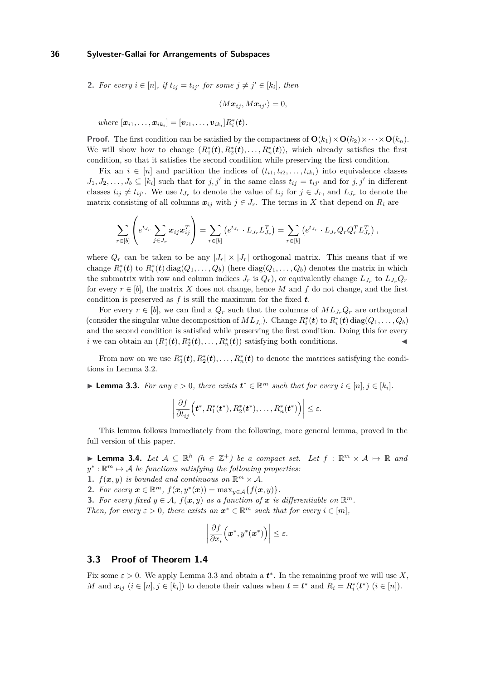**2.** For every 
$$
i \in [n]
$$
, if  $t_{ij} = t_{ij'}$  for some  $j \neq j' \in [k_i]$ , then

$$
\langle M{\bm x}_{ij}, M{\bm x}_{ij'} \rangle = 0,
$$

 $where \ [\bm{x}_{i1}, \ldots, \bm{x}_{ik_i}] = [\bm{v}_{i1}, \ldots, \bm{v}_{ik_i}]R_i^*(\bm{t}).$ 

**Proof.** The first condition can be satisfied by the compactness of  $\mathbf{O}(k_1) \times \mathbf{O}(k_2) \times \cdots \times \mathbf{O}(k_n)$ . We will show how to change  $(R_1^*(t), R_2^*(t), \ldots, R_n^*(t))$ , which already satisfies the first condition, so that it satisfies the second condition while preserving the first condition.

Fix an  $i \in [n]$  and partition the indices of  $(t_{i1}, t_{i2}, \ldots, t_{ik_i})$  into equivalence classes  $J_1, J_2, \ldots, J_b \subseteq [k_i]$  such that for  $j, j'$  in the same class  $t_{ij} = t_{ij'}$  and for  $j, j'$  in different classes  $t_{ij} \neq t_{ij'}$ . We use  $t_{J_r}$  to denote the value of  $t_{ij}$  for  $j \in J_r$ , and  $L_{J_r}$  to denote the matrix consisting of all columns  $x_{ij}$  with  $j \in J_r$ . The terms in X that depend on  $R_i$  are

$$
\sum_{r \in [b]} \left( e^{t_{J_r}} \sum_{j \in J_r} x_{ij} x_{ij}^T \right) = \sum_{r \in [b]} \left( e^{t_{J_r}} \cdot L_{J_r} L_{J_r}^T \right) = \sum_{r \in [b]} \left( e^{t_{J_r}} \cdot L_{J_r} Q_r Q_r^T L_{J_r}^T \right),
$$

where  $Q_r$  can be taken to be any  $|J_r| \times |J_r|$  orthogonal matrix. This means that if we change  $R_i^*(t)$  to  $R_i^*(t)$  diag $(Q_1, \ldots, Q_b)$  (here  $diag(Q_1, \ldots, Q_b)$ ) denotes the matrix in which the submatrix with row and column indices  $J_r$  is  $Q_r$ ), or equivalently change  $L_{J_r}$  to  $L_{J_r}Q_r$ for every  $r \in [b]$ , the matrix X does not change, hence M and f do not change, and the first condition is preserved as *f* is still the maximum for the fixed *t*.

For every  $r \in [b]$ , we can find a  $Q_r$  such that the columns of  $ML_{J_r}Q_r$  are orthogonal (consider the singular value decomposition of  $ML_{J_r}$ ). Change  $R_i^*(t)$  to  $R_i^*(t)$  diag( $Q_1, \ldots, Q_b$ ) and the second condition is satisfied while preserving the first condition. Doing this for every *i* we can obtain an  $(R_1^*(t), R_2^*(t), \ldots, R_n^*(t))$  satisfying both conditions.

From now on we use  $R_1^*(t), R_2^*(t), \ldots, R_n^*(t)$  to denote the matrices satisfying the conditions in Lemma [3.2.](#page-6-1)

<span id="page-7-1"></span>► **Lemma 3.3.** *For any*  $\epsilon > 0$ *, there exists*  $t^* \in \mathbb{R}^m$  *such that for every*  $i \in [n], j \in [k_i]$ *.* 

$$
\left|\frac{\partial f}{\partial t_{ij}}\Big(\boldsymbol{t}^*,R_1^*(\boldsymbol{t}^*),R_2^*(\boldsymbol{t}^*),\ldots,R_n^*(\boldsymbol{t}^*)\Big)\right|\leq\varepsilon.
$$

This lemma follows immediately from the following, more general lemma, proved in the full version of this paper.

**► Lemma 3.4.** Let  $A \subseteq \mathbb{R}^h$  ( $h \in \mathbb{Z}^+$ ) be a compact set. Let  $f : \mathbb{R}^m \times A \mapsto \mathbb{R}$  and  $y^* : \mathbb{R}^m \mapsto \mathcal{A}$  *be functions satisfying the following properties:* 

**1.**  $f(\mathbf{x}, y)$  *is bounded and continuous on*  $\mathbb{R}^m \times A$ *.* 

2. *For every*  $\mathbf{x} \in \mathbb{R}^m$ ,  $f(\mathbf{x}, y^*(\mathbf{x})) = \max_{y \in A} \{f(\mathbf{x}, y)\}.$ 

**3.** For every fixed  $y \in A$ ,  $f(x, y)$  as a function of x is differentiable on  $\mathbb{R}^m$ . *Then, for every*  $\varepsilon > 0$ *, there exists an*  $\mathbf{x}^* \in \mathbb{R}^m$  *such that for every*  $i \in [m]$ *,* 

$$
\left|\frac{\partial f}{\partial x_i}\Big(\boldsymbol{x}^*,y^*(\boldsymbol{x}^*)\Big)\right|\leq\varepsilon.
$$

#### <span id="page-7-0"></span>**3.3 Proof of Theorem [1.4](#page-2-0)**

Fix some  $\varepsilon > 0$ . We apply Lemma [3.3](#page-7-1) and obtain a  $t^*$ . In the remaining proof we will use X, *M* and  $x_{ij}$  ( $i \in [n], j \in [k_i]$ ) to denote their values when  $t = t^*$  and  $R_i = R_i^*(t^*)$  ( $i \in [n]$ ).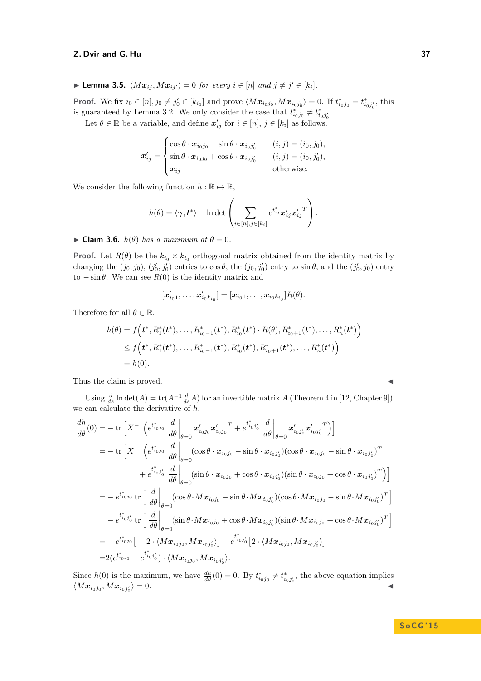▶ Lemma 3.5.  $\langle Mx_{ij}, Mx_{ij'} \rangle = 0$  *for every*  $i \in [n]$  *and*  $j \neq j' \in [k_i]$ *.* 

**Proof.** We fix  $i_0 \in [n], j_0 \neq j'_0 \in [k_{i_0}]$  and prove  $\langle Mx_{i_0j_0}, Mx_{i_0j'_0} \rangle = 0$ . If  $t_{i_0j_0}^* = t_{i_0j'_0}^*$ , this is guaranteed by Lemma [3.2.](#page-6-1) We only consider the case that  $t_{i_0j_0}^* \neq t_{i_0j'_0}^*$ .

Let  $\theta \in \mathbb{R}$  be a variable, and define  $x'_{ij}$  for  $i \in [n], j \in [k_i]$  as follows.

$$
\boldsymbol{x}'_{ij} = \begin{cases} \cos \theta \cdot \boldsymbol{x}_{i_0 j_0} - \sin \theta \cdot \boldsymbol{x}_{i_0 j'_0} & (i, j) = (i_0, j_0), \\ \sin \theta \cdot \boldsymbol{x}_{i_0 j_0} + \cos \theta \cdot \boldsymbol{x}_{i_0 j'_0} & (i, j) = (i_0, j'_0), \\ \boldsymbol{x}_{ij} & \text{otherwise.} \end{cases}
$$

We consider the following function  $h : \mathbb{R} \to \mathbb{R}$ ,

$$
h(\theta) = \langle \boldsymbol{\gamma}, \boldsymbol{t}^* \rangle - \ln \det \left( \sum_{i \in [n], j \in [k_i]} e^{t_{ij}^*} \boldsymbol{x}_{ij}' \boldsymbol{x}_{ij}'^T \right).
$$

 $\blacktriangleright$  **Claim 3.6.** *h*( $\theta$ ) *has a maximum at*  $\theta = 0$ *.* 

**Proof.** Let  $R(\theta)$  be the  $k_{i_0} \times k_{i_0}$  orthogonal matrix obtained from the identity matrix by changing the  $(j_0, j_0)$ ,  $(j'_0, j'_0)$  entries to  $\cos \theta$ , the  $(j_0, j'_0)$  entry to  $\sin \theta$ , and the  $(j'_0, j_0)$  entry to  $-\sin\theta$ . We can see  $R(0)$  is the identity matrix and

$$
[\bm{x}'_{i_01},\ldots,\bm{x}'_{i_0k_{i_0}}] = [\bm{x}_{i_01},\ldots,\bm{x}_{i_0k_{i_0}}]R(\theta).
$$

Therefore for all  $\theta \in \mathbb{R}$ .

$$
h(\theta) = f\Big(t^*, R_1^*(t^*), \dots, R_{i_0-1}^*(t^*), R_{i_0}^*(t^*) \cdot R(\theta), R_{i_0+1}^*(t^*), \dots, R_n^*(t^*)\Big) \leq f\Big(t^*, R_1^*(t^*), \dots, R_{i_0-1}^*(t^*), R_{i_0}^*(t^*), R_{i_0+1}^*(t^*), \dots, R_n^*(t^*)\Big) = h(0).
$$

Thus the claim is proved.

Using  $\frac{d}{ds} \ln \det(A) = \text{tr}(A^{-1} \frac{d}{ds}A)$  for an invertible matrix *A* (Theorem 4 in [\[12,](#page-14-14) Chapter 9]), we can calculate the derivative of *h*.

$$
\frac{dh}{d\theta}(0) = -\operatorname{tr}\left[X^{-1}\left(e^{t_{i_{0}j_{0}}^{*}}\frac{d}{d\theta}\Big|_{\theta=0}x'_{i_{0}j_{0}}x'_{i_{0}j_{0}}{}^{T} + e^{t_{i_{0}j'_{0}}^{*}}\frac{d}{d\theta}\Big|_{\theta=0}x'_{i_{0}j'_{0}}x'_{i_{0}j'_{0}}{}^{T}\right)\right]
$$
\n
$$
= -\operatorname{tr}\left[X^{-1}\left(e^{t_{i_{0}j_{0}}^{*}}\frac{d}{d\theta}\Big|_{\theta=0}(\cos\theta\cdot x_{i_{0}j_{0}}-\sin\theta\cdot x_{i_{0}j'_{0}})(\cos\theta\cdot x_{i_{0}j_{0}}-\sin\theta\cdot x_{i_{0}j'_{0}})^{T} + e^{t_{i_{0}j'_{0}}^{*}}\frac{d}{d\theta}\Big|_{\theta=0}(\sin\theta\cdot x_{i_{0}j_{0}}+\cos\theta\cdot x_{i_{0}j'_{0}})(\sin\theta\cdot x_{i_{0}j_{0}}+\cos\theta\cdot x_{i_{0}j'_{0}})^{T}\right)\right]
$$
\n
$$
= -e^{t_{i_{0}j_{0}}^{*}}\operatorname{tr}\left[\left.\frac{d}{d\theta}\right|_{\theta=0}(\cos\theta\cdot Mx_{i_{0}j_{0}}-\sin\theta\cdot Mx_{i_{0}j'_{0}})(\cos\theta\cdot Mx_{i_{0}j_{0}}-\sin\theta\cdot Mx_{i_{0}j'_{0}})^{T}\right]
$$
\n
$$
-e^{t_{i_{0}j'_{0}}^{*}}\operatorname{tr}\left[\left.\frac{d}{d\theta}\right|_{\theta=0}(\sin\theta\cdot Mx_{i_{0}j_{0}}+\cos\theta\cdot Mx_{i_{0}j'_{0}})(\sin\theta\cdot Mx_{i_{0}j_{0}}+\cos\theta\cdot Mx_{i_{0}j'_{0}})^{T}\right]
$$
\n
$$
= -e^{t_{i_{0}j_{0}}^{*}}\left[-2\cdot\langle Mx_{i_{0}j_{0}},Mx_{i_{0}j'_{0}}\rangle\right]-e^{t_{i_{0}j'_{0}}^{*}}\left[2\cdot\langle Mx_{i_{0}j_{0}},Mx_{i_{0}j'_{0}}\rangle\right]
$$
\n<

Since  $h(0)$  is the maximum, we have  $\frac{dh}{d\theta}(0) = 0$ . By  $t_{i_0j_0}^* \neq t_{i_0j'_0}^*$ , the above equation implies  $\langle M\boldsymbol{x}_{i_0j_0}, M\boldsymbol{x}_{i_0j_0'}\rangle$  $\rangle = 0.$ 

$$
\overline{a}
$$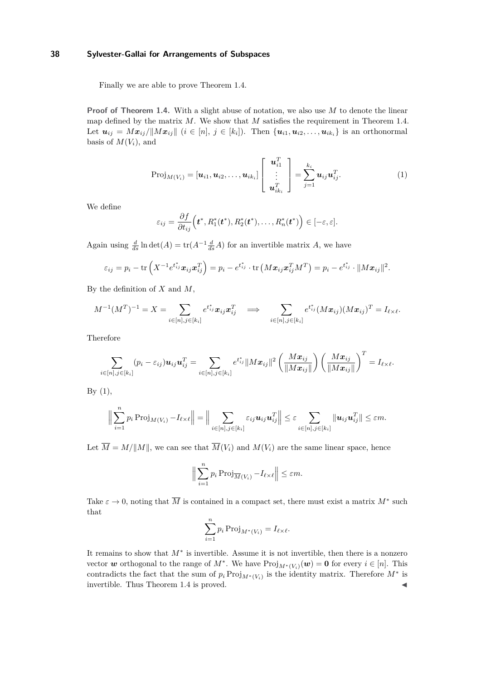Finally we are able to prove Theorem [1.4.](#page-2-0)

**Proof of Theorem [1.4.](#page-2-0)** With a slight abuse of notation, we also use *M* to denote the linear map defined by the matrix *M*. We show that *M* satisfies the requirement in Theorem [1.4.](#page-2-0) Let  $u_{ij} = Mx_{ij}/\|Mx_{ij}\|$   $(i \in [n], j \in [k_i])$ . Then  $\{u_{i1}, u_{i2}, \ldots, u_{ik_i}\}\$ is an orthonormal basis of  $M(V_i)$ , and

<span id="page-9-0"></span>
$$
\text{Proj}_{M(V_i)} = [\boldsymbol{u}_{i1}, \boldsymbol{u}_{i2}, \dots, \boldsymbol{u}_{ik_i}] \left[ \begin{array}{c} \boldsymbol{u}_{i1}^T \\ \vdots \\ \boldsymbol{u}_{ik_i}^T \end{array} \right] = \sum_{j=1}^{k_i} \boldsymbol{u}_{ij} \boldsymbol{u}_{ij}^T. \tag{1}
$$

We define

$$
\varepsilon_{ij} = \frac{\partial f}{\partial t_{ij}}\Big(\boldsymbol{t}^*, R_1^*(\boldsymbol{t}^*), R_2^*(\boldsymbol{t}^*), \ldots, R_n^*(\boldsymbol{t}^*)\Big) \in [-\varepsilon, \varepsilon].
$$

Again using  $\frac{d}{ds} \ln \det(A) = \text{tr}(A^{-1} \frac{d}{ds}A)$  for an invertible matrix *A*, we have

$$
\varepsilon_{ij}=p_i-\text{tr}\left(X^{-1}e^{t_{ij}^*}\boldsymbol{x}_{ij}\boldsymbol{x}_{ij}^T\right)=p_i-e^{t_{ij}^*}\cdot\text{tr}\left(M\boldsymbol{x}_{ij}\boldsymbol{x}_{ij}^TM^T\right)=p_i-e^{t_{ij}^*}\cdot\|M\boldsymbol{x}_{ij}\|^2.
$$

By the definition of *X* and *M*,

$$
M^{-1}(M^T)^{-1} = X = \sum_{i \in [n], j \in [k_i]} e^{t_{ij}^*} x_{ij} x_{ij}^T \implies \sum_{i \in [n], j \in [k_i]} e^{t_{ij}^*} (M x_{ij}) (M x_{ij})^T = I_{\ell \times \ell}.
$$

Therefore

$$
\sum_{i\in[n],j\in[k_i]}(p_i-\varepsilon_{ij})\boldsymbol{u}_{ij}\boldsymbol{u}_{ij}^T=\sum_{i\in[n],j\in[k_i]}e^{t_{ij}^*}\|\boldsymbol{M}\boldsymbol{x}_{ij}\|^2\left(\frac{\boldsymbol{M}\boldsymbol{x}_{ij}}{\|\boldsymbol{M}\boldsymbol{x}_{ij}\|}\right)\left(\frac{\boldsymbol{M}\boldsymbol{x}_{ij}}{\|\boldsymbol{M}\boldsymbol{x}_{ij}\|}\right)^T=I_{\ell\times\ell}.
$$

By  $(1)$ ,

$$
\Big\|\sum_{i=1}^n p_i \operatorname{Proj}_{M(V_i)} - I_{\ell \times \ell} \Big\| = \Big\|\sum_{i \in [n], j \in [k_i]} \varepsilon_{ij} \mathbf{u}_{ij} \mathbf{u}_{ij}^T \Big\| \leq \varepsilon \sum_{i \in [n], j \in [k_i]} \|\mathbf{u}_{ij} \mathbf{u}_{ij}^T\| \leq \varepsilon m.
$$

Let  $\overline{M} = M/||M||$ , we can see that  $\overline{M}(V_i)$  and  $M(V_i)$  are the same linear space, hence

$$
\Big\|\sum_{i=1}^n p_i \operatorname{Proj}_{\overline{M}(V_i)} - I_{\ell \times \ell} \Big\| \le \varepsilon m.
$$

Take  $\varepsilon \to 0$ , noting that  $\overline{M}$  is contained in a compact set, there must exist a matrix  $M^*$  such that

$$
\sum_{i=1}^{n} p_i \operatorname{Proj}_{M^*(V_i)} = I_{\ell \times \ell}.
$$

It remains to show that *M*<sup>∗</sup> is invertible. Assume it is not invertible, then there is a nonzero vector *w* orthogonal to the range of  $M^*$ . We have  $\text{Proj}_{M^*(V_i)}(\boldsymbol{w}) = \boldsymbol{0}$  for every  $i \in [n]$ . This contradicts the fact that the sum of  $p_i \text{Proj}_{M^*(V_i)}$  is the identity matrix. Therefore  $M^*$  is invertible. Thus Theorem [1.4](#page-2-0) is proved.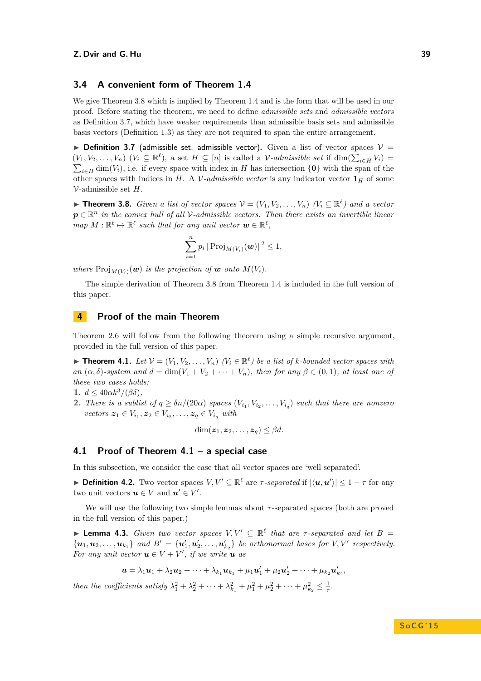#### **3.4 A convenient form of Theorem [1.4](#page-2-0)**

We give Theorem [3.8](#page-10-1) which is implied by Theorem [1.4](#page-2-0) and is the form that will be used in our proof. Before stating the theorem, we need to define *admissible sets* and *admissible vectors* as Definition [3.7,](#page-10-2) which have weaker requirements than admissible basis sets and admissible basis vectors (Definition [1.3\)](#page-2-1) as they are not required to span the entire arrangement.

<span id="page-10-2"></span>**Definition 3.7** (admissible set, admissible vector). Given a list of vector spaces  $V =$  $(V_1, V_2, \ldots, V_n)$   $(V_i \subseteq \mathbb{R}^{\ell})$ , a set  $H \subseteq [n]$  is called a  $\mathcal{V}$ -admissible set if dim $(\sum_{i \in H} V_i)$  $\sum_{i\in H}$  dim(*V*<sub>*i*</sub>)*,* i.e. if every space with index in *H* has intersection  $\{0\}$  with the span of the other spaces with indices in *H*. A *V*-admissible vector is any indicator vector  $\mathbf{1}_H$  of some V-admissible set *H*.

<span id="page-10-1"></span>▶ **Theorem 3.8.** *Given a list of vector spaces*  $V = (V_1, V_2, \ldots, V_n)$   $(V_i ⊆ ℝ<sup>ℓ</sup>)$  and a vector  $p \in \mathbb{R}^n$  *in the convex hull of all* V-admissible vectors. Then there exists an invertible linear  $map M : \mathbb{R}^{\ell} \mapsto \mathbb{R}^{\ell}$  such that for any unit vector  $w \in \mathbb{R}^{\ell}$ ,

$$
\sum_{i=1}^n p_i \| \operatorname{Proj}_{M(V_i)}(\bm{w}) \|^2 \le 1,
$$

*where*  $\text{Proj}_{M(V_i)}(\boldsymbol{w})$  *is the projection of*  $\boldsymbol{w}$  *onto*  $M(V_i)$ *.* 

The simple derivation of Theorem [3.8](#page-10-1) from Theorem [1.4](#page-2-0) is included in the full version of this paper.

# <span id="page-10-0"></span>**4 Proof of the main Theorem**

Theorem [2.6](#page-4-0) will follow from the following theorem using a simple recursive argument, provided in the full version of this paper.

<span id="page-10-3"></span>▶ **Theorem 4.1.** *Let*  $V = (V_1, V_2, \ldots, V_n)$   $(V_i \in \mathbb{R}^{\ell})$  *be a list of k-bounded vector spaces with an*  $(\alpha, \delta)$ -system and  $d = \dim(V_1 + V_2 + \cdots + V_n)$ , then for any  $\beta \in (0,1)$ , at least one of *these two cases holds:*

1.  $d \leq 40 \alpha k^3 / (\beta \delta)$ ,

**2.** *There is a sublist of*  $q \geq \delta n/(20\alpha)$  *spaces*  $(V_{i_1}, V_{i_2}, \ldots, V_{i_q})$  *such that there are nonzero*  $\mathbf{z}_1 \in V_{i_1}, \mathbf{z}_2 \in V_{i_2}, \ldots, \mathbf{z}_q \in V_{i_q}$  *with* 

$$
\dim(\boldsymbol{z}_1, \boldsymbol{z}_2, \dots, \boldsymbol{z}_q) \leq \beta d.
$$

# **4.1 Proof of Theorem [4.1](#page-10-3) – a special case**

In this subsection, we consider the case that all vector spaces are 'well separated'.

**Definition 4.2.** Two vector spaces  $V, V' \subseteq \mathbb{R}^{\ell}$  are  $\tau$ -separated if  $|\langle u, u' \rangle| \leq 1 - \tau$  for any two unit vectors  $u \in V$  and  $u' \in V'$ .

We will use the following two simple lemmas about *τ* -separated spaces (both are proved in the full version of this paper.)

<span id="page-10-4"></span>**Lemma 4.3.** *Given two vector spaces*  $V, V' \subseteq \mathbb{R}^{\ell}$  *that are τ*-*separated and let*  $B =$  $\{u_1, u_2, \ldots, u_{k_1}\}\$ and  $B' = \{u'_1, u'_2, \ldots, u'_{k_2}\}\$ be orthonormal bases for  $V, V'$  respectively. *For any unit vector*  $u \in V + V'$ , *if we write*  $u$  *as* 

$$
\mathbf{u} = \lambda_1 \mathbf{u}_1 + \lambda_2 \mathbf{u}_2 + \cdots + \lambda_{k_1} \mathbf{u}_{k_1} + \mu_1 \mathbf{u}'_1 + \mu_2 \mathbf{u}'_2 + \cdots + \mu_{k_2} \mathbf{u}'_{k_2},
$$

*then the coefficients satisfy*  $\lambda_1^2 + \lambda_2^2 + \cdots + \lambda_{k_1}^2 + \mu_1^2 + \mu_2^2 + \cdots + \mu_{k_2}^2 \le \frac{1}{\tau}$ .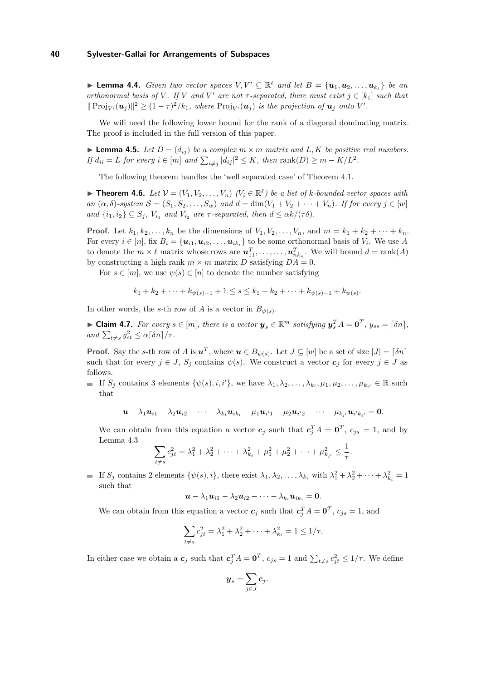<span id="page-11-1"></span>▶ **Lemma 4.4.** *Given two vector spaces*  $V, V' \subseteq \mathbb{R}^{\ell}$  *and let*  $B = {\mathbf{u}_1, \mathbf{u}_2, \dots, \mathbf{u}_{k_1}}$  *be an orthonormal basis of V*. If *V* and *V*' are not  $\tau$ -separated, there must exist  $j \in [k_1]$  such that  $|| \text{Proj}_{V'}(\boldsymbol{u}_j) ||^2 \geq (1 - \tau)^2 / k_1$ , where  $\text{Proj}_{V'}(\boldsymbol{u}_j)$  is the projection of  $\boldsymbol{u}_j$  onto  $V'$ .

We will need the following lower bound for the rank of a diagonal dominating matrix. The proof is included in the full version of this paper.

<span id="page-11-0"></span>**Lemma 4.5.** *Let*  $D = (d_{ij})$  *be a complex*  $m \times m$  *matrix and*  $L, K$  *be positive real numbers.*  $If d_{ii} = L$  *for every*  $i \in [m]$  *and*  $\sum_{i \neq j} |d_{ij}|^2 \leq K$ , *then*  $\text{rank}(D) \geq m - K/L^2$ .

The following theorem handles the 'well separated case' of Theorem [4.1.](#page-10-3)

<span id="page-11-2"></span>▶ **Theorem 4.6.** *Let*  $V = (V_1, V_2, \ldots, V_n)$   $(V_i \in \mathbb{R}^{\ell})$  *be a list of k-bounded vector spaces with*  $an(\alpha, \delta)$ -system  $\mathcal{S} = (S_1, S_2, \dots, S_w)$  and  $d = \dim(V_1 + V_2 + \dots + V_n)$ . If for every  $j \in [w]$ *and*  $\{i_1, i_2\} \subseteq S_j$ ,  $V_{i_1}$  *and*  $V_{i_2}$  *are τ*-separated, then  $d \leq \alpha k/(\tau \delta)$ .

**Proof.** Let  $k_1, k_2, \ldots, k_n$  be the dimensions of  $V_1, V_2, \ldots, V_n$ , and  $m = k_1 + k_2 + \cdots + k_n$ . For every  $i \in [n]$ , fix  $B_i = {\mathbf{u}_{i1}, \mathbf{u}_{i2}, \dots, \mathbf{u}_{ik_i}}$  to be some orthonormal basis of  $V_i$ . We use A to denote the  $m \times \ell$  matrix whose rows are  $u_{11}^T, \ldots, \ldots, u_{nk_n}^T$ . We will bound  $d = \text{rank}(A)$ by constructing a high rank  $m \times m$  matrix *D* satisfying  $DA = 0$ .

For  $s \in [m]$ , we use  $\psi(s) \in [n]$  to denote the number satisfying

$$
k_1 + k_2 + \dots + k_{\psi(s)-1} + 1 \le s \le k_1 + k_2 + \dots + k_{\psi(s)-1} + k_{\psi(s)}.
$$

In other words, the *s*-th row of *A* is a vector in  $B_{\psi(s)}$ .

► Claim 4.7. For every  $s \in [m]$ , there is a vector  $y_s \in \mathbb{R}^m$  satisfying  $y_s^T A = 0^T$ ,  $y_{ss} = \lceil \delta n \rceil$ ,  $and \sum_{t \neq s} y_{st}^2 \leq \alpha \lceil \delta n \rceil / \tau.$ 

**Proof.** Say the *s*-th row of *A* is  $u^T$ , where  $u \in B_{\psi(s)}$ . Let  $J \subseteq [w]$  be a set of size  $|J| = \lceil \delta n \rceil$ such that for every  $j \in J$ ,  $S_j$  contains  $\psi(s)$ . We construct a vector  $c_j$  for every  $j \in J$  as follows.

If  $S_j$  contains 3 elements  $\{\psi(s), i, i'\}$ , we have  $\lambda_1, \lambda_2, \ldots, \lambda_{k_i}, \mu_1, \mu_2, \ldots, \mu_{k_{i'}} \in \mathbb{R}$  such that

$$
\mathbf{u}-\lambda_1\mathbf{u}_{i1}-\lambda_2\mathbf{u}_{i2}-\cdots-\lambda_{k_i}\mathbf{u}_{ik_i}-\mu_1\mathbf{u}_{i'1}-\mu_2\mathbf{u}_{i'2}-\cdots-\mu_{k_{i'}}\mathbf{u}_{i'k_{i'}}=\mathbf{0}.
$$

We can obtain from this equation a vector  $c_j$  such that  $c_j^T A = \mathbf{0}^T$ ,  $c_{js} = 1$ , and by Lemma [4.3](#page-10-4)

$$
\sum_{t \neq s} c_{jt}^2 = \lambda_1^2 + \lambda_2^2 + \dots + \lambda_{k_i}^2 + \mu_1^2 + \mu_2^2 + \dots + \mu_{k_{i'}}^2 \leq \frac{1}{\tau}.
$$

If  $S_j$  contains 2 elements  $\{\psi(s), i\}$ , there exist  $\lambda_1, \lambda_2, \ldots, \lambda_{k_i}$  with  $\lambda_1^2 + \lambda_2^2 + \cdots + \lambda_{k_i}^2 = 1$ such that

$$
\boldsymbol{u}-\lambda_1\boldsymbol{u}_{i1}-\lambda_2\boldsymbol{u}_{i2}-\cdots-\lambda_{k_i}\boldsymbol{u}_{ik_i}=\boldsymbol{0}.
$$

We can obtain from this equation a vector  $c_j$  such that  $c_j^T A = \mathbf{0}^T$ ,  $c_{js} = 1$ , and

$$
\sum_{t \neq s} c_{jt}^2 = \lambda_1^2 + \lambda_2^2 + \dots + \lambda_{k_i}^2 = 1 \leq 1/\tau.
$$

In either case we obtain a  $c_j$  such that  $c_j^T A = \mathbf{0}^T$ ,  $c_{js} = 1$  and  $\sum_{t \neq s} c_{jt}^2 \leq 1/\tau$ . We define

$$
\boldsymbol{y}_s = \sum_{j \in J} \boldsymbol{c}_j.
$$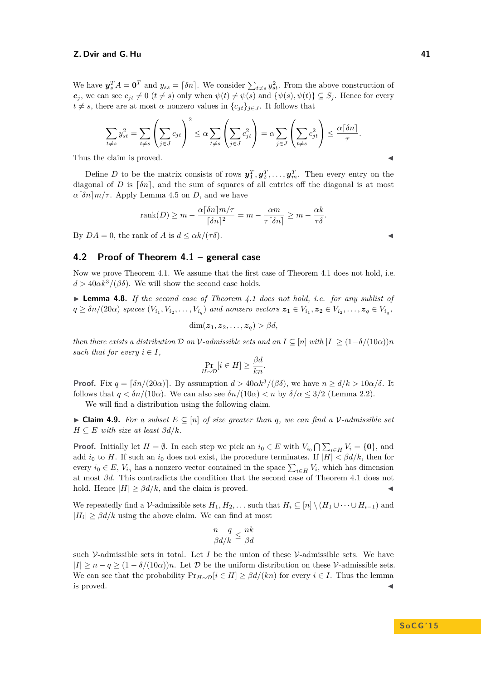We have  $y_s^T A = \mathbf{0}^T$  and  $y_{ss} = \lceil \delta n \rceil$ . We consider  $\sum_{t \neq s} y_{st}^2$ . From the above construction of *c<sub>j</sub>*, we can see  $c_{jt} \neq 0$  ( $t \neq s$ ) only when  $\psi(t) \neq \psi(s)$  and  $\{\psi(s), \psi(t)\} \subseteq S_j$ . Hence for every  $t \neq s$ , there are at most *α* nonzero values in  ${c_{it}}_{i \in J}$ . It follows that

$$
\sum_{t \neq s} y_{st}^2 = \sum_{t \neq s} \left( \sum_{j \in J} c_{jt} \right)^2 \leq \alpha \sum_{t \neq s} \left( \sum_{j \in J} c_{jt}^2 \right) = \alpha \sum_{j \in J} \left( \sum_{t \neq s} c_{jt}^2 \right) \leq \frac{\alpha \lfloor \delta n \rfloor}{\tau}.
$$

Thus the claim is proved.

Define *D* to be the matrix consists of rows  $y_1^T, y_2^T, \ldots, y_m^T$ . Then every entry on the diagonal of *D* is  $\lceil \delta n \rceil$ , and the sum of squares of all entries off the diagonal is at most  $\alpha$ [ $\delta n$ ]*m*/*τ*. Apply Lemma [4.5](#page-11-0) on *D*, and we have

$$
rank(D) \ge m - \frac{\alpha \lceil \delta n \rceil m / \tau}{\lceil \delta n \rceil^2} = m - \frac{\alpha m}{\tau \lceil \delta n \rceil} \ge m - \frac{\alpha k}{\tau \delta}.
$$

By  $DA = 0$ , the rank of *A* is  $d \leq \alpha k / (\tau \delta)$ .

### **4.2 Proof of Theorem [4.1](#page-10-3) – general case**

Now we prove Theorem [4.1.](#page-10-3) We assume that the first case of Theorem [4.1](#page-10-3) does not hold, i.e.  $d > 40 \alpha k^3/(\beta \delta)$ . We will show the second case holds.

<span id="page-12-0"></span>▶ Lemma 4.8. If the second case of Theorem [4.1](#page-10-3) does not hold, i.e. for any sublist of  $q \geq \delta n/(20\alpha)$  spaces  $(V_{i_1}, V_{i_2}, \ldots, V_{i_q})$  and nonzero vectors  $\boldsymbol{z}_1 \in V_{i_1}, \boldsymbol{z}_2 \in V_{i_2}, \ldots, \boldsymbol{z}_q \in V_{i_q}$ ,

$$
\dim(\boldsymbol{z}_1,\boldsymbol{z}_2,\ldots,\boldsymbol{z}_q) > \beta d,
$$

*then there exists a distribution*  $\mathcal D$  *on*  $\mathcal V$ -admissible sets and an  $I \subseteq [n]$  with  $|I| \geq (1-\delta/(10\alpha))n$ *such that for every*  $i \in I$ ,

$$
\Pr_{H \sim \mathcal{D}}[i \in H] \ge \frac{\beta d}{kn}.
$$

**Proof.** Fix  $q = \left[\delta n/(20\alpha)\right]$ . By assumption  $d > 40\alpha k^3/(\beta\delta)$ , we have  $n \ge d/k > 10\alpha/\delta$ . It follows that  $q < \delta n/(10\alpha)$ . We can also see  $\delta n/(10\alpha) < n$  by  $\delta/\alpha \leq 3/2$  (Lemma [2.2\)](#page-4-4).

We will find a distribution using the following claim.

**► Claim 4.9.** *For a subset*  $E \subseteq [n]$  *of size greater than q*, we can find a V-admissible set  $H \subseteq E$  *with size at least*  $\beta d/k$ *.* 

**Proof.** Initially let  $H = \emptyset$ . In each step we pick an  $i_0 \in E$  with  $V_{i_0} \cap \sum_{i \in H} V_i = \{0\}$ , and add *i*<sub>0</sub> to *H*. If such an *i*<sub>0</sub> does not exist, the procedure terminates. If  $|H| < \beta d/k$ , then for every  $i_0 \in E$ ,  $V_{i_0}$  has a nonzero vector contained in the space  $\sum_{i \in H} V_i$ , which has dimension at most *βd*. This contradicts the condition that the second case of Theorem [4.1](#page-10-3) does not hold. Hence  $|H| \geq \beta d/k$ , and the claim is proved.

We repeatedly find a V-admissible sets  $H_1, H_2, \ldots$  such that  $H_i \subseteq [n] \setminus (H_1 \cup \cdots \cup H_{i-1})$  and  $|H_i| \geq \beta d/k$  using the above claim. We can find at most

$$
\frac{n-q}{\beta d/k} \le \frac{nk}{\beta d}
$$

such V-admissible sets in total. Let  $I$  be the union of these V-admissible sets. We have  $|I| > n - q > (1 - \delta/(10\alpha))n$ . Let D be the uniform distribution on these V-admissible sets. We can see that the probability  $Pr_{H\sim \mathcal{D}}[i \in H] \geq \beta d/(kn)$  for every  $i \in I$ . Thus the lemma  $\blacksquare$  is proved.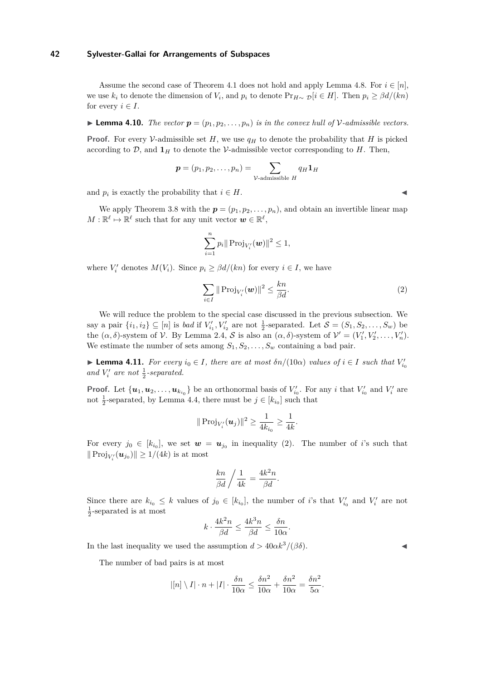Assume the second case of Theorem [4.1](#page-10-3) does not hold and apply Lemma [4.8.](#page-12-0) For  $i \in [n]$ , we use  $k_i$  to denote the dimension of  $V_i$ , and  $p_i$  to denote  $Pr_{H \sim \mathcal{D}}[i \in H]$ . Then  $p_i \geq \beta d/(kn)$ for every  $i \in I$ .

#### **Lemma 4.10.** *The vector*  $p = (p_1, p_2, \ldots, p_n)$  *is in the convex hull of V*-admissible vectors.

**Proof.** For every V-admissible set  $H$ , we use  $q<sub>H</sub>$  to denote the probability that  $H$  is picked according to  $\mathcal{D}$ , and  $\mathbf{1}_H$  to denote the V-admissible vector corresponding to *H*. Then,

$$
\boldsymbol{p} = (p_1, p_2, \dots, p_n) = \sum_{\mathcal{V}\text{-admissible } H} q_H \mathbf{1}_H
$$

and  $p_i$  is exactly the probability that  $i \in H$ .

We apply Theorem [3.8](#page-10-1) with the  $p = (p_1, p_2, \ldots, p_n)$ , and obtain an invertible linear map  $M: \mathbb{R}^{\ell} \mapsto \mathbb{R}^{\ell}$  such that for any unit vector  $w \in \mathbb{R}^{\ell}$ ,

$$
\sum_{i=1}^n p_i \| \operatorname{Proj}_{V_i'}(\bm{w}) \|^2 \le 1,
$$

where  $V_i'$  denotes  $M(V_i)$ . Since  $p_i \geq \beta d/(kn)$  for every  $i \in I$ , we have

<span id="page-13-0"></span>
$$
\sum_{i \in I} \|\operatorname{Proj}_{V_i'}(\boldsymbol{w})\|^2 \le \frac{kn}{\beta d}.\tag{2}
$$

We will reduce the problem to the special case discussed in the previous subsection. We say a pair  $\{i_1, i_2\} \subseteq [n]$  is *bad* if  $V'_{i_1}, V'_{i_2}$  are not  $\frac{1}{2}$ -separated. Let  $\mathcal{S} = (S_1, S_2, \ldots, S_w)$  be the  $(\alpha, \delta)$ -system of  $V$ . By Lemma [2.4,](#page-4-5)  $S$  is also an  $(\alpha, \delta)$ -system of  $V' = (V'_1, V'_2, \dots, V'_n)$ . We estimate the number of sets among  $S_1, S_2, \ldots, S_w$  containing a bad pair.

▶ **Lemma 4.11.** *For every*  $i_0 \in I$ *, there are at most*  $\delta n/(10\alpha)$  *values of*  $i \in I$  *such that*  $V'_{i_0}$ and  $V_i'$  are not  $\frac{1}{2}$ -separated.

**Proof.** Let  $\{u_1, u_2, \ldots, u_{k_{i_0}}\}$  be an orthonormal basis of  $V'_{i_0}$ . For any *i* that  $V'_{i_0}$  and  $V'_{i_0}$  are not  $\frac{1}{2}$ -separated, by Lemma [4.4,](#page-11-1) there must be  $j \in [k_{i_0}]$  such that

$$
\|\operatorname{Proj}_{V_i'}(\bm{u}_j)\|^2 \ge \frac{1}{4k_{i_0}} \ge \frac{1}{4k}.
$$

For every  $j_0 \in [k_{i_0}]$ , we set  $\boldsymbol{w} = \boldsymbol{u}_{j_0}$  in inequality [\(2\)](#page-13-0). The number of *i*'s such that  $\|\operatorname{Proj}_{V'_i}(\boldsymbol{u}_{j_0})\| \geq 1/(4k)$  is at most

$$
\frac{kn}{\beta d} \bigg/ \frac{1}{4k} = \frac{4k^2 n}{\beta d}.
$$

Since there are  $k_{i_0} \leq k$  values of  $j_0 \in [k_{i_0}]$ , the number of *i*'s that  $V'_{i_0}$  and  $V'_i$  are not  $\frac{1}{2}$ -separated is at most

$$
k \cdot \frac{4k^2n}{\beta d} \le \frac{4k^3n}{\beta d} \le \frac{\delta n}{10\alpha}
$$

*.*

In the last inequality we used the assumption  $d > 40\alpha k^3/(\beta\delta)$ .

The number of bad pairs is at most

$$
|[n] \setminus I| \cdot n + |I| \cdot \frac{\delta n}{10\alpha} \le \frac{\delta n^2}{10\alpha} + \frac{\delta n^2}{10\alpha} = \frac{\delta n^2}{5\alpha}.
$$